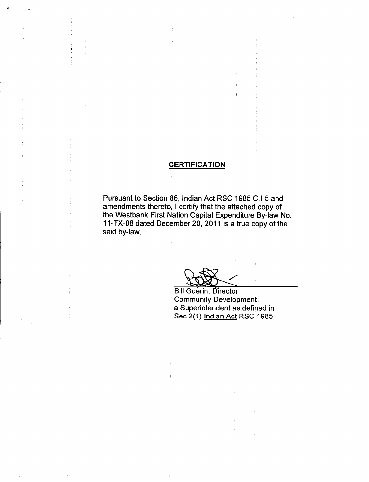## **CERTIFICATION**

Pursuant to Section 86, Indian Act RSC 1985 C.I-5 and amendments thereto, I certify that the attached copy of the Westbank First Nation Capital Expenditure By -law No. 11-TX-08 dated December 20, 2011 is a true copy of the said by-law.

**Atr** 

**Bill Guerin, Director** Community Development, a Superintendent as defined in Sec 2(1) <u>Indian Act</u> RSC 1985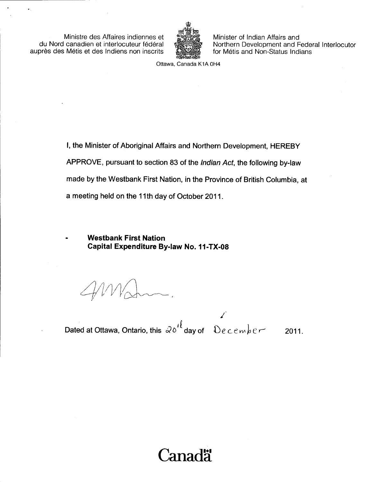Ministre des Affaires indiennes et du Nord canadien et interlocuteur federal auprès des Métis et des Indiens non inscrits



Minister of Indian Affairs and Northern Development and Federal Interlocutor for Métis and Non-Status Indians

Ottawa, Canada K1A OH4

I, the Minister of Aboriginal Affairs and Northern Development, HEREBY APPROVE, pursuant to section 83 of the Indian Act, the following by-law made by the Westbank First Nation, in the Province of British Columbia, at a meeting held on the 11th day of October 2011.

Westbank First Nation Capital Expenditure By-law No. 11-TX-08

 $\frac{1}{\sqrt{1-\frac{1}{\sqrt{1-\frac{1}{\sqrt{1-\frac{1}{\sqrt{1-\frac{1}{\sqrt{1-\frac{1}{\sqrt{1-\frac{1}{\sqrt{1-\frac{1}{\sqrt{1-\frac{1}{\sqrt{1-\frac{1}{\sqrt{1-\frac{1}{\sqrt{1-\frac{1}{\sqrt{1-\frac{1}{\sqrt{1-\frac{1}{\sqrt{1-\frac{1}{\sqrt{1-\frac{1}{\sqrt{1-\frac{1}{\sqrt{1-\frac{1}{\sqrt{1-\frac{1}{\sqrt{1-\frac{1}{\sqrt{1-\frac{1}{\sqrt{1-\frac{1}{\sqrt{1-\frac{1}{\sqrt{1-\frac{1}{\sqrt{1-\frac{1$ 

Dated at Ottawa, Ontario, this  $\omega_0'^{\ell}$  day of  $\omega_0$   $\ell$  cember 2011.

# Canada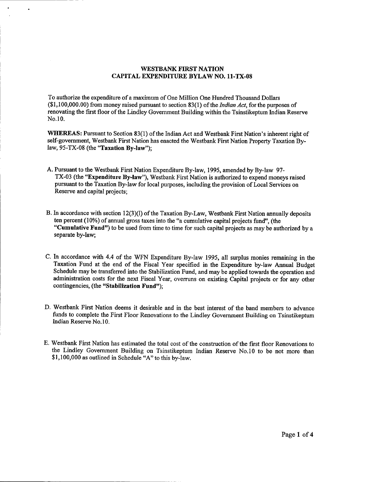#### WESTBANK FIRST NATION CAPITAL EXPENDITURE BYLAW NO. 11 -TX -08

To authorize the expenditure of <sup>a</sup> maximum of One Million One Hundred Thousand Dollars  $(1, 100, 000.00)$  from money raised pursuant to section 83(1) of the *Indian Act*, for the purposes of renovating the first floor of the Lindley Government Building within the Tsinstikeptum Indian Reserve No. 10.

WHEREAS: Pursuant to Section 83(1) of the Indian Act and Westbank First Nation's inherent right of self-government, Westbank First Nation has enacted the Westbank First Nation Property Taxation Bylaw,  $95-TX-08$  (the "Taxation By-law");

- A. Pursuant to the Westbank First Nation Expenditure By -law, 1995, amended by By -law 97- TX-03 (the "Expenditure By-law"), Westbank First Nation is authorized to expend moneys raised pursuant to the Taxation By -law for local purposes, including the provision of Local Services on Reserve and capital projects;
- B. In accordance with section 12(3)(1) of the Taxation By-Law, Westbank First Nation annually deposits ten percent  $(10\%)$  of annual gross taxes into the "a cumulative capital projects fund", (the "Cumulative Fund") to be used from time to time for such capital projects as may be authorized by a separate by-law;
- C. In accordance with 4.4 of the WFN Expenditure By -law 1995, all surplus monies remaining in the Taxation Fund at the end of the Fiscal Year specified in the Expenditure by -law Annual Budget Schedule may be transferred into the Stabilization Fund, and may be applied towards the operation and administration costs for the next Fiscal Year, overruns on existing Capital projects or for any other contingencies, (the "Stabilization Fund");
- D. Westbank First Nation deems it desirable and in the best interest of the band members to advance funds to complete the First Floor Renovations to the Lindley Government Building on Tsinstikeptum Indian Reserve No. 10.
- E. Westbank First Nation has estimated the total cost of the construction of the first floor Renovations to the Lindley Government Building on Tsinstikeptum Indian Reserve No. 10 to be not more than \$1,100,000 as outlined in Schedule "A" to this by-law.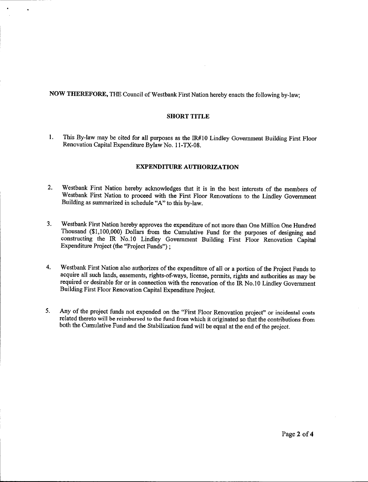NOW THEREFORE, THE Council of Westbank First Nation hereby enacts the following by -law;

#### SHORT TITLE

1. This By-law may be cited for all purposes as the IR#10 Lindley Government Building First Floor Renovation Capital Expenditure Bylaw No. 11-TX-08.

#### EXPENDITURE AUTHORIZATION

- 2. Westbank First Nation hereby acknowledges that it is in the best interests of the members of Westbank First Nation to proceed with the First Floor Renovations to the Lindley Government Building as summarized in schedule "A" to this by -law.
- 3. Westbank First Nation hereby approves the expenditure of not more than One Million One Hundred Thousand (\$1,100,000) Dollars from the Cumulative Fund for the purposes of designing and constructing the IR No. 10 Lindley Government Building First Floor Renovation Capital Expenditure Project (the "Project Funds");
- 4. Westbank First Nation also authorizes of the expenditure of all or <sup>a</sup> portion of the Project Funds to acquire all such lands, easements, rights -of -ways, license, permits, rights and authorities as may be required or desirable for or in connection with the renovation of the IR No. <sup>10</sup> Lindley Government Building First Floor Renovation Capital Expenditure Project.
- 5. Any of the project funds not expended on the "First Floor Renovation project" or incidental costs related thereto will be reimbursed to the fund from which it originated so that the contributions from both the Cumulative Fund and the Stabilization fund will be equal at the end of the project.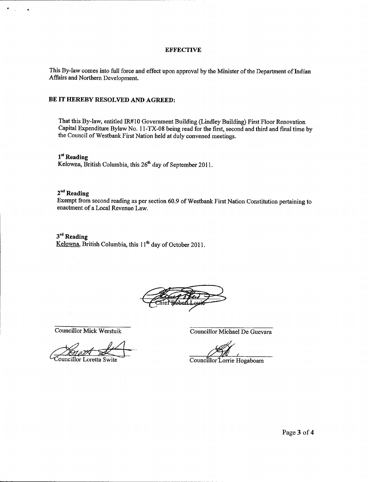#### **EFFECTIVE**

This By-law comes into full force and effect upon approval by the Minister of the Department of Indian Affairs and Northern Development.

#### BE IT HEREBY RESOLVED AND AGREED:

That this By -law, entitled IR# 10 Government Building (Lindley Building) First Floor Renovation Capital Expenditure Bylaw No. 11 -TX -08 being read for the first, second and third and final time by the Council of Westbank First Nation held at duly convened meetings.

1<sup>st</sup> Reading Kelowna, British Columbia, this  $26<sup>th</sup>$  day of September 2011.

#### $2<sup>nd</sup>$  Reading

 $\overline{a}$ 

Exempt from second reading as per section 60.9 of Westbank First Nation Constitution pertaining to enactment of a Local Revenue Law.

# 3<sup>rd</sup> Reading

Kelowna, British Columbia, this  $11<sup>th</sup>$  day of October 2011.

Councillor Loretta Swite

Councillor Mick Werstuik Councillor Michael De Guevara

Councillor Lorrie Hogaboam